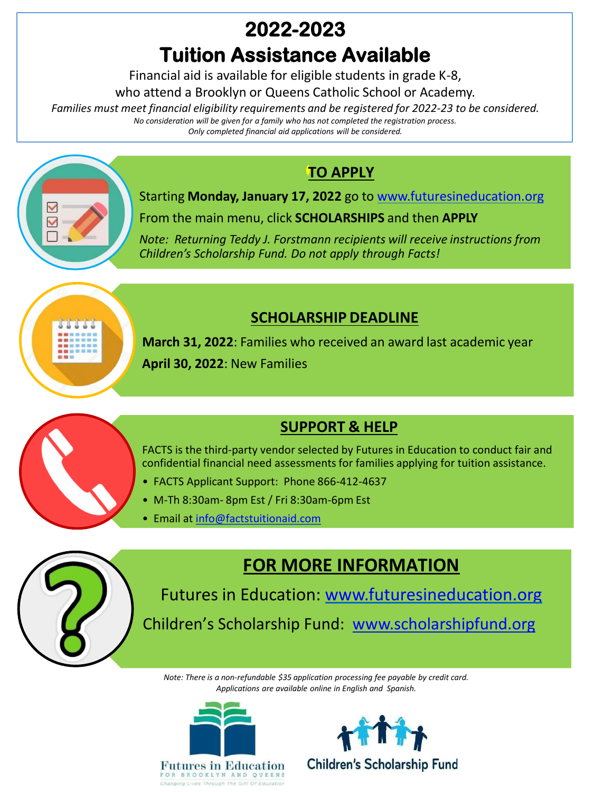## **2022-2023**

# **Tuition Assistance Available**

Financial aid is available for eligible students in grade K-8,

who attend a Brooklyn or Queens Catholic School or Academy.

*Families must meet financial eligibility requirements and be registered for 2022-23 to be considered. No consideration will be given for a family who has not completed the registration process.*

*Only completed financial aid applications will be considered.*

### **TO APPLY**



Starting **Monday, January 17, 2022** go to [www.futuresineducation.org](http://www.futuresineducation.org/) From the main menu, click **SCHOLARSHIPS** and then **APPLY**

*Note: Returning Teddy J. Forstmann recipients will receive instructions from Children's Scholarship Fund. Do not apply through Facts!*



**SCHOLARSHIP DEADLINE**

**March 31, 2022**: Families who received an award last academic year **April 30, 2022**: New Families

### **SUPPORT & HELP**

FACTS is the third-party vendor selected by Futures in Education to conduct fair and confidential financial need assessments for families applying for tuition assistance.

- FACTS Applicant Support: Phone 866-412-4637
- M-Th 8:30am- 8pm Est / Fri 8:30am-6pm Est
- Email at [info@factstuitionaid.com](mailto:info@factstuitionaid.com)



Futures in Education: [www.futuresineducation.org](http://www.futuresineducation.org/) Children's Scholarship Fund: [www.scholarshipfund.org](http://www.scholarshipfund.org/)

**FOR MORE INFORMATION**

*Note: There is a non-refundable \$35 application processing fee payable by credit card. Applications are available online in English and Spanish.*